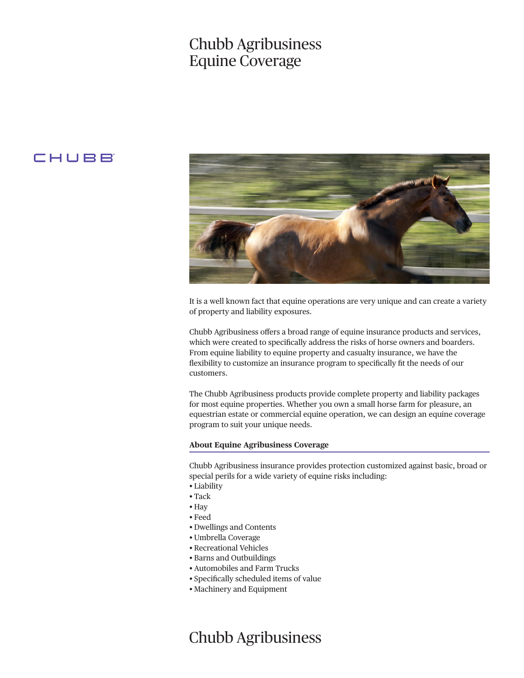## Chubb Agribusiness Equine Coverage

### CHUBB



It is a well known fact that equine operations are very unique and can create a variety of property and liability exposures.

Chubb Agribusiness offers a broad range of equine insurance products and services, which were created to specifically address the risks of horse owners and boarders. From equine liability to equine property and casualty insurance, we have the flexibility to customize an insurance program to specifically fit the needs of our customers.

The Chubb Agribusiness products provide complete property and liability packages for most equine properties. Whether you own a small horse farm for pleasure, an equestrian estate or commercial equine operation, we can design an equine coverage program to suit your unique needs.

### **About Equine Agribusiness Coverage**

Chubb Agribusiness insurance provides protection customized against basic, broad or special perils for a wide variety of equine risks including:

- Liability
- Tack
- Hay
- Feed
- Dwellings and Contents
- Umbrella Coverage
- Recreational Vehicles
- Barns and Outbuildings
- Automobiles and Farm Trucks
- Specifically scheduled items of value
- Machinery and Equipment

# Chubb Agribusiness